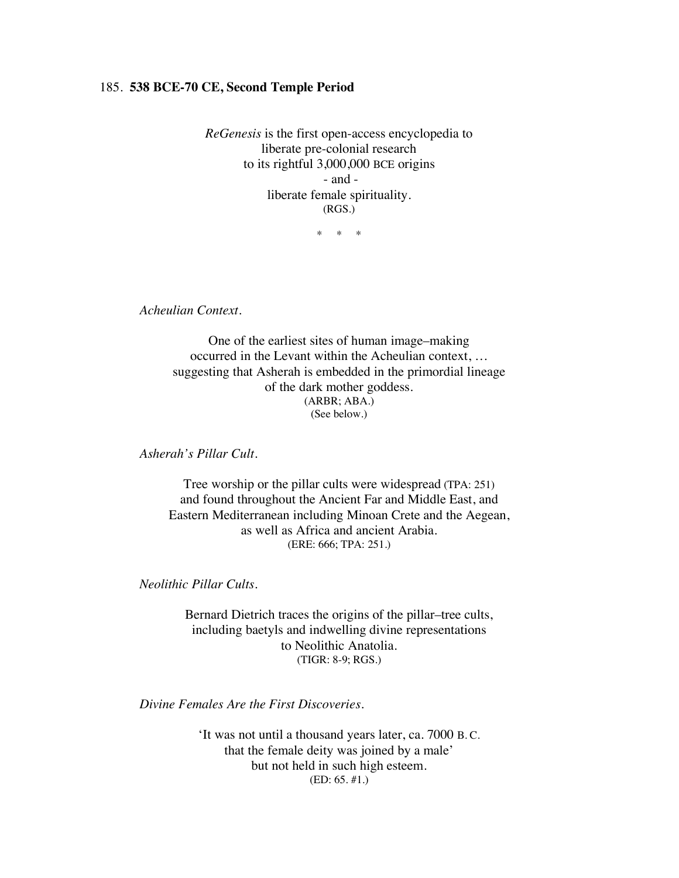### 185. **538 BCE-70 CE, Second Temple Period**

*ReGenesis* is the first open-access encyclopedia to liberate pre-colonial research to its rightful 3,000,000 BCE origins - and liberate female spirituality. (RGS.)

\* \* \*

*Acheulian Context.*

One of the earliest sites of human image–making occurred in the Levant within the Acheulian context, … suggesting that Asherah is embedded in the primordial lineage of the dark mother goddess. (ARBR; ABA.) (See below.)

*Asherah's Pillar Cult.*

Tree worship or the pillar cults were widespread (TPA: 251) and found throughout the Ancient Far and Middle East, and Eastern Mediterranean including Minoan Crete and the Aegean, as well as Africa and ancient Arabia. (ERE: 666; TPA: 251.)

*Neolithic Pillar Cults.*

Bernard Dietrich traces the origins of the pillar–tree cults, including baetyls and indwelling divine representations to Neolithic Anatolia. (TIGR: 8-9; RGS.)

*Divine Females Are the First Discoveries.*

'It was not until a thousand years later, ca. 7000 B. C. that the female deity was joined by a male' but not held in such high esteem. (ED: 65. #1.)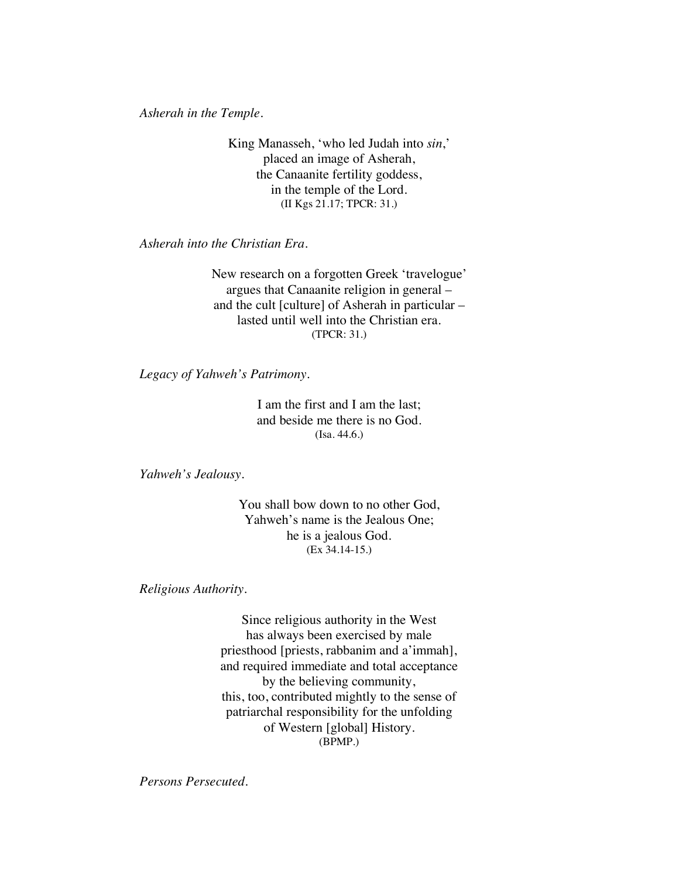*Asherah in the Temple.*

King Manasseh, 'who led Judah into *sin*,' placed an image of Asherah, the Canaanite fertility goddess, in the temple of the Lord. (II Kgs 21.17; TPCR: 31.)

*Asherah into the Christian Era.*

New research on a forgotten Greek 'travelogue' argues that Canaanite religion in general – and the cult [culture] of Asherah in particular – lasted until well into the Christian era. (TPCR: 31.)

*Legacy of Yahweh's Patrimony.* 

I am the first and I am the last; and beside me there is no God. (Isa. 44.6.)

*Yahweh's Jealousy.*

You shall bow down to no other God, Yahweh's name is the Jealous One; he is a jealous God. (Ex 34.14-15.)

*Religious Authority.*

Since religious authority in the West has always been exercised by male priesthood [priests, rabbanim and a'immah], and required immediate and total acceptance by the believing community, this, too, contributed mightly to the sense of patriarchal responsibility for the unfolding of Western [global] History. (BPMP.)

*Persons Persecuted.*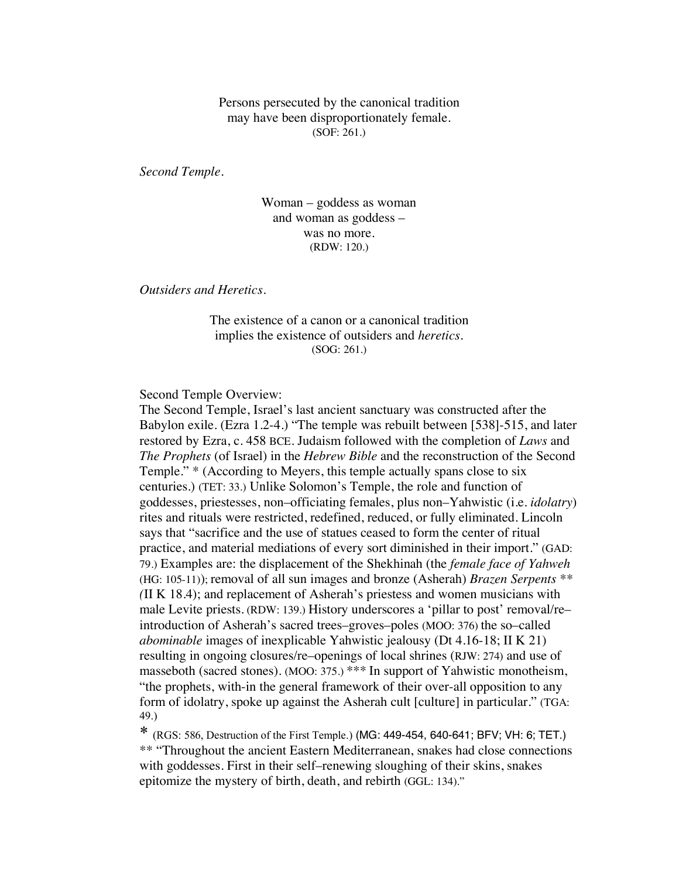Persons persecuted by the canonical tradition may have been disproportionately female. (SOF: 261.)

*Second Temple.*

Woman – goddess as woman and woman as goddess – was no more. (RDW: 120.)

*Outsiders and Heretics.*

The existence of a canon or a canonical tradition implies the existence of outsiders and *heretics*. (SOG: 261.)

Second Temple Overview:

The Second Temple, Israel's last ancient sanctuary was constructed after the Babylon exile. (Ezra 1.2-4.) "The temple was rebuilt between [538]-515, and later restored by Ezra, c. 458 BCE. Judaism followed with the completion of *Laws* and *The Prophets* (of Israel) in the *Hebrew Bible* and the reconstruction of the Second Temple." \* (According to Meyers, this temple actually spans close to six centuries.) (TET: 33.) Unlike Solomon's Temple, the role and function of goddesses, priestesses, non–officiating females, plus non–Yahwistic (i.e. *idolatry*) rites and rituals were restricted, redefined, reduced, or fully eliminated. Lincoln says that "sacrifice and the use of statues ceased to form the center of ritual practice, and material mediations of every sort diminished in their import." (GAD: 79.) Examples are: the displacement of the Shekhinah (the *female face of Yahweh* (HG: 105-11)); removal of all sun images and bronze (Asherah) *Brazen Serpents \*\* (*II K 18.4); and replacement of Asherah's priestess and women musicians with male Levite priests. (RDW: 139.) History underscores a 'pillar to post' removal/re– introduction of Asherah's sacred trees–groves–poles (MOO: 376) the so–called *abominable* images of inexplicable Yahwistic jealousy (Dt 4.16-18; II K 21) resulting in ongoing closures/re–openings of local shrines (RJW: 274) and use of masseboth (sacred stones). (MOO: 375.) \*\*\* In support of Yahwistic monotheism, "the prophets, with-in the general framework of their over-all opposition to any form of idolatry, spoke up against the Asherah cult [culture] in particular." (TGA: 49.)

\* (RGS: 586, Destruction of the First Temple.) (MG: 449-454, 640-641; BFV; VH: 6; TET.) \*\* "Throughout the ancient Eastern Mediterranean, snakes had close connections with goddesses. First in their self–renewing sloughing of their skins, snakes epitomize the mystery of birth, death, and rebirth (GGL: 134)."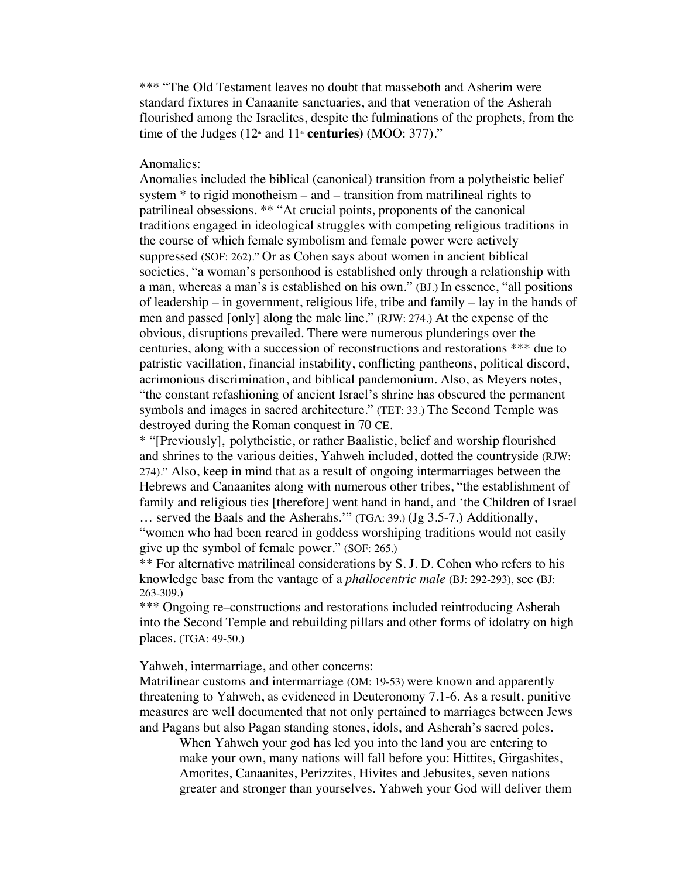\*\*\* "The Old Testament leaves no doubt that masseboth and Asherim were standard fixtures in Canaanite sanctuaries, and that veneration of the Asherah flourished among the Israelites, despite the fulminations of the prophets, from the time of the Judges  $(12<sup>th</sup>$  and  $11<sup>th</sup>$  **centuries**) (MOO: 377)."

### Anomalies:

Anomalies included the biblical (canonical) transition from a polytheistic belief system \* to rigid monotheism – and – transition from matrilineal rights to patrilineal obsessions. \*\* "At crucial points, proponents of the canonical traditions engaged in ideological struggles with competing religious traditions in the course of which female symbolism and female power were actively suppressed (SOF: 262)." Or as Cohen says about women in ancient biblical societies, "a woman's personhood is established only through a relationship with a man, whereas a man's is established on his own." (BJ.) In essence, "all positions of leadership – in government, religious life, tribe and family – lay in the hands of men and passed [only] along the male line." (RJW: 274.) At the expense of the obvious, disruptions prevailed. There were numerous plunderings over the centuries, along with a succession of reconstructions and restorations \*\*\* due to patristic vacillation, financial instability, conflicting pantheons, political discord, acrimonious discrimination, and biblical pandemonium. Also, as Meyers notes, "the constant refashioning of ancient Israel's shrine has obscured the permanent symbols and images in sacred architecture." (TET: 33.) The Second Temple was destroyed during the Roman conquest in 70 CE.

\* "[Previously], polytheistic, or rather Baalistic, belief and worship flourished and shrines to the various deities, Yahweh included, dotted the countryside (RJW: 274)." Also, keep in mind that as a result of ongoing intermarriages between the Hebrews and Canaanites along with numerous other tribes, "the establishment of family and religious ties [therefore] went hand in hand, and 'the Children of Israel … served the Baals and the Asherahs.'" (TGA: 39.) (Jg 3.5-7.) Additionally, "women who had been reared in goddess worshiping traditions would not easily give up the symbol of female power." (SOF: 265.)

\*\* For alternative matrilineal considerations by S. J. D. Cohen who refers to his knowledge base from the vantage of a *phallocentric male* (BJ: 292-293), see (BJ: 263-309.)

\*\*\* Ongoing re–constructions and restorations included reintroducing Asherah into the Second Temple and rebuilding pillars and other forms of idolatry on high places. (TGA: 49-50.)

Yahweh, intermarriage, and other concerns:

Matrilinear customs and intermarriage (OM: 19-53) were known and apparently threatening to Yahweh, as evidenced in Deuteronomy 7.1-6. As a result, punitive measures are well documented that not only pertained to marriages between Jews and Pagans but also Pagan standing stones, idols, and Asherah's sacred poles.

When Yahweh your god has led you into the land you are entering to make your own, many nations will fall before you: Hittites, Girgashites, Amorites, Canaanites, Perizzites, Hivites and Jebusites, seven nations greater and stronger than yourselves. Yahweh your God will deliver them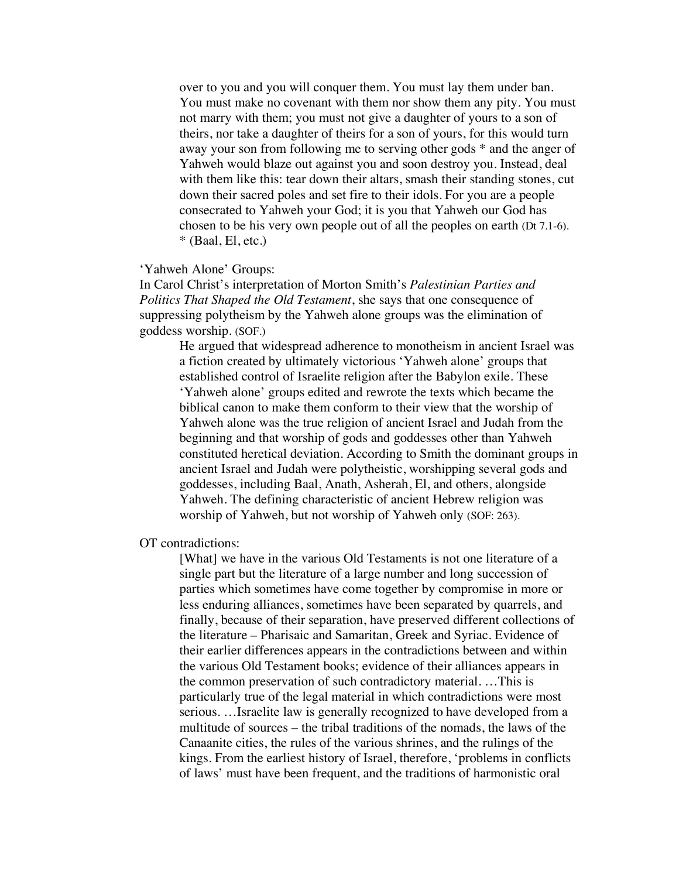over to you and you will conquer them. You must lay them under ban. You must make no covenant with them nor show them any pity. You must not marry with them; you must not give a daughter of yours to a son of theirs, nor take a daughter of theirs for a son of yours, for this would turn away your son from following me to serving other gods \* and the anger of Yahweh would blaze out against you and soon destroy you. Instead, deal with them like this: tear down their altars, smash their standing stones, cut down their sacred poles and set fire to their idols. For you are a people consecrated to Yahweh your God; it is you that Yahweh our God has chosen to be his very own people out of all the peoples on earth (Dt 7.1-6).  $*$  (Baal, El, etc.)

## 'Yahweh Alone' Groups:

In Carol Christ's interpretation of Morton Smith's *Palestinian Parties and Politics That Shaped the Old Testament*, she says that one consequence of suppressing polytheism by the Yahweh alone groups was the elimination of goddess worship. (SOF.)

He argued that widespread adherence to monotheism in ancient Israel was a fiction created by ultimately victorious 'Yahweh alone' groups that established control of Israelite religion after the Babylon exile. These 'Yahweh alone' groups edited and rewrote the texts which became the biblical canon to make them conform to their view that the worship of Yahweh alone was the true religion of ancient Israel and Judah from the beginning and that worship of gods and goddesses other than Yahweh constituted heretical deviation. According to Smith the dominant groups in ancient Israel and Judah were polytheistic, worshipping several gods and goddesses, including Baal, Anath, Asherah, El, and others, alongside Yahweh. The defining characteristic of ancient Hebrew religion was worship of Yahweh, but not worship of Yahweh only (SOF: 263).

OT contradictions:

[What] we have in the various Old Testaments is not one literature of a single part but the literature of a large number and long succession of parties which sometimes have come together by compromise in more or less enduring alliances, sometimes have been separated by quarrels, and finally, because of their separation, have preserved different collections of the literature – Pharisaic and Samaritan, Greek and Syriac. Evidence of their earlier differences appears in the contradictions between and within the various Old Testament books; evidence of their alliances appears in the common preservation of such contradictory material. …This is particularly true of the legal material in which contradictions were most serious. …Israelite law is generally recognized to have developed from a multitude of sources – the tribal traditions of the nomads, the laws of the Canaanite cities, the rules of the various shrines, and the rulings of the kings. From the earliest history of Israel, therefore, 'problems in conflicts of laws' must have been frequent, and the traditions of harmonistic oral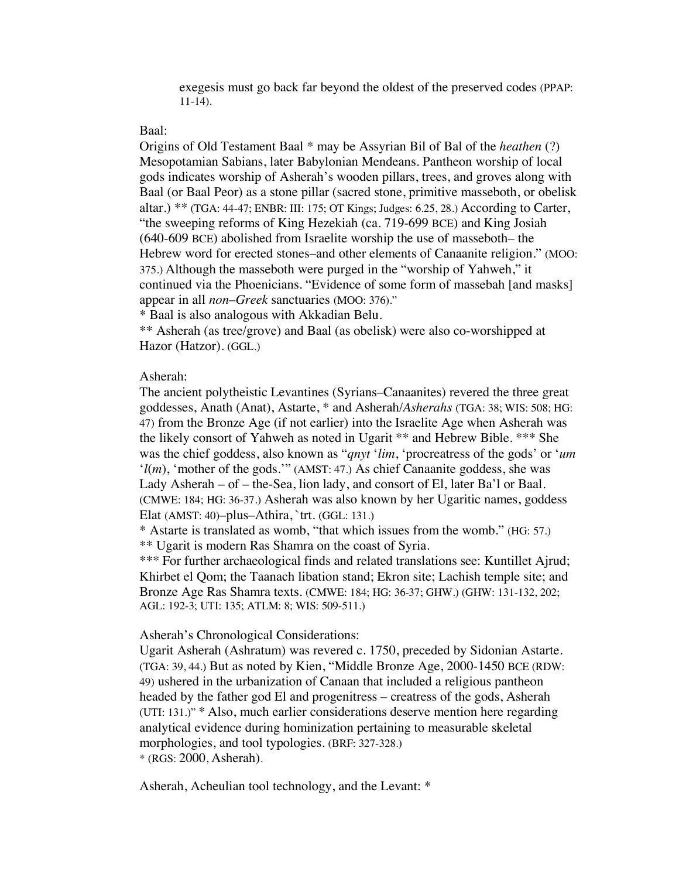exegesis must go back far beyond the oldest of the preserved codes (PPAP: 11-14).

## Baal:

Origins of Old Testament Baal \* may be Assyrian Bil of Bal of the *heathen* (?) Mesopotamian Sabians, later Babylonian Mendeans. Pantheon worship of local gods indicates worship of Asherah's wooden pillars, trees, and groves along with Baal (or Baal Peor) as a stone pillar (sacred stone, primitive masseboth, or obelisk altar.) \*\* (TGA: 44-47; ENBR: III: 175; OT Kings; Judges: 6.25, 28.) According to Carter, "the sweeping reforms of King Hezekiah (ca. 719-699 BCE) and King Josiah (640-609 BCE) abolished from Israelite worship the use of masseboth– the Hebrew word for erected stones–and other elements of Canaanite religion." (MOO: 375.) Although the masseboth were purged in the "worship of Yahweh," it continued via the Phoenicians. "Evidence of some form of massebah [and masks] appear in all *non*–*Greek* sanctuaries (MOO: 376)."

\* Baal is also analogous with Akkadian Belu.

\*\* Asherah (as tree/grove) and Baal (as obelisk) were also co-worshipped at Hazor (Hatzor). (GGL.)

### Asherah:

The ancient polytheistic Levantines (Syrians–Canaanites) revered the three great goddesses, Anath (Anat), Astarte, \* and Asherah/*Asherahs* (TGA: 38; WIS: 508; HG: 47) from the Bronze Age (if not earlier) into the Israelite Age when Asherah was the likely consort of Yahweh as noted in Ugarit \*\* and Hebrew Bible. \*\*\* She was the chief goddess, also known as "*qnyt* '*lim*, 'procreatress of the gods' or '*um* '*l*(*m*), 'mother of the gods.'" (AMST: 47.) As chief Canaanite goddess, she was Lady Asherah – of – the-Sea, lion lady, and consort of El, later Ba'l or Baal. (CMWE: 184; HG: 36-37.) Asherah was also known by her Ugaritic names, goddess Elat (AMST: 40)–plus–Athira, `trt. (GGL: 131.)

\* Astarte is translated as womb, "that which issues from the womb." (HG: 57.) \*\* Ugarit is modern Ras Shamra on the coast of Syria.

\*\*\* For further archaeological finds and related translations see: Kuntillet Ajrud; Khirbet el Qom; the Taanach libation stand; Ekron site; Lachish temple site; and Bronze Age Ras Shamra texts. (CMWE: 184; HG: 36-37; GHW.) (GHW: 131-132, 202; AGL: 192-3; UTI: 135; ATLM: 8; WIS: 509-511.)

# Asherah's Chronological Considerations:

Ugarit Asherah (Ashratum) was revered c. 1750, preceded by Sidonian Astarte. (TGA: 39, 44.) But as noted by Kien, "Middle Bronze Age, 2000-1450 BCE (RDW: 49) ushered in the urbanization of Canaan that included a religious pantheon headed by the father god El and progenitress – creatress of the gods, Asherah (UTI: 131.)" \* Also, much earlier considerations deserve mention here regarding analytical evidence during hominization pertaining to measurable skeletal morphologies, and tool typologies. (BRF: 327-328.) \* (RGS: 2000, Asherah).

Asherah, Acheulian tool technology, and the Levant: \*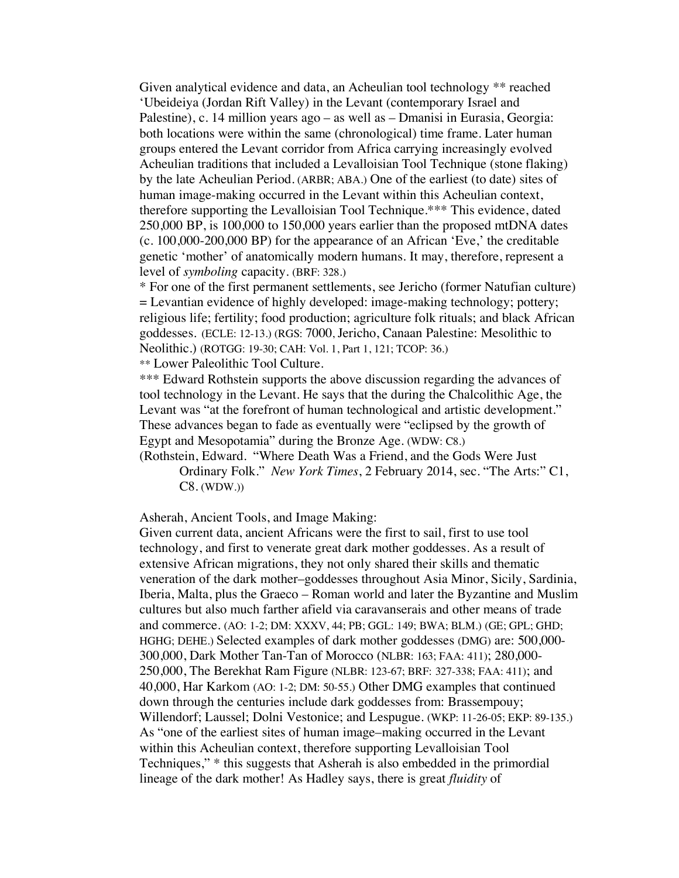Given analytical evidence and data, an Acheulian tool technology \*\* reached 'Ubeideiya (Jordan Rift Valley) in the Levant (contemporary Israel and Palestine), c. 14 million years ago – as well as – Dmanisi in Eurasia, Georgia: both locations were within the same (chronological) time frame. Later human groups entered the Levant corridor from Africa carrying increasingly evolved Acheulian traditions that included a Levalloisian Tool Technique (stone flaking) by the late Acheulian Period. (ARBR; ABA.) One of the earliest (to date) sites of human image-making occurred in the Levant within this Acheulian context, therefore supporting the Levalloisian Tool Technique.\*\*\* This evidence, dated 250,000 BP, is 100,000 to 150,000 years earlier than the proposed mtDNA dates (c. 100,000-200,000 BP) for the appearance of an African 'Eve,' the creditable genetic 'mother' of anatomically modern humans. It may, therefore, represent a level of *symboling* capacity. (BRF: 328.)

\* For one of the first permanent settlements, see Jericho (former Natufian culture) = Levantian evidence of highly developed: image-making technology; pottery; religious life; fertility; food production; agriculture folk rituals; and black African goddesses. (ECLE: 12-13.) (RGS: 7000, Jericho, Canaan Palestine: Mesolithic to Neolithic.) (ROTGG: 19-30; CAH: Vol. 1, Part 1, 121; TCOP: 36.)

\*\* Lower Paleolithic Tool Culture.

\*\*\* Edward Rothstein supports the above discussion regarding the advances of tool technology in the Levant. He says that the during the Chalcolithic Age, the Levant was "at the forefront of human technological and artistic development." These advances began to fade as eventually were "eclipsed by the growth of Egypt and Mesopotamia" during the Bronze Age. (WDW: C8.)

(Rothstein, Edward. "Where Death Was a Friend, and the Gods Were Just Ordinary Folk." *New York Times*, 2 February 2014, sec. "The Arts:" C1, C8. (WDW.))

Asherah, Ancient Tools, and Image Making:

Given current data, ancient Africans were the first to sail, first to use tool technology, and first to venerate great dark mother goddesses. As a result of extensive African migrations, they not only shared their skills and thematic veneration of the dark mother–goddesses throughout Asia Minor, Sicily, Sardinia, Iberia, Malta, plus the Graeco – Roman world and later the Byzantine and Muslim cultures but also much farther afield via caravanserais and other means of trade and commerce. (AO: 1-2; DM: XXXV, 44; PB; GGL: 149; BWA; BLM.) (GE; GPL; GHD; HGHG; DEHE.) Selected examples of dark mother goddesses (DMG) are: 500,000- 300,000, Dark Mother Tan-Tan of Morocco (NLBR: 163; FAA: 411); 280,000- 250,000, The Berekhat Ram Figure (NLBR: 123-67; BRF: 327-338; FAA: 411); and 40,000, Har Karkom (AO: 1-2; DM: 50-55.) Other DMG examples that continued down through the centuries include dark goddesses from: Brassempouy; Willendorf; Laussel; Dolni Vestonice; and Lespugue. (WKP: 11-26-05; EKP: 89-135.) As "one of the earliest sites of human image–making occurred in the Levant within this Acheulian context, therefore supporting Levalloisian Tool Techniques," \* this suggests that Asherah is also embedded in the primordial lineage of the dark mother! As Hadley says, there is great *fluidity* of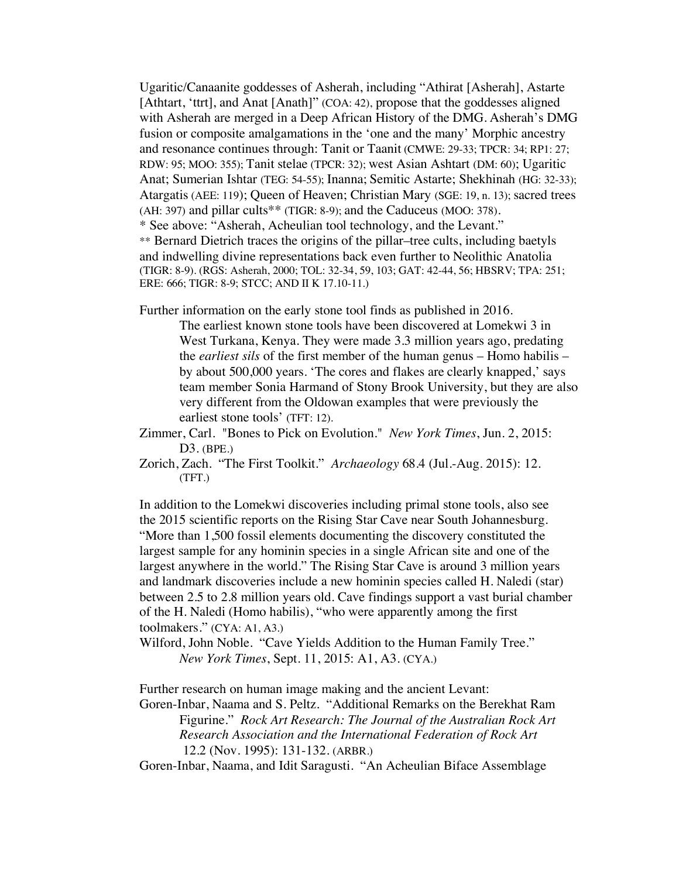Ugaritic/Canaanite goddesses of Asherah, including "Athirat [Asherah], Astarte [Athtart, 'ttrt], and Anat [Anath]" (COA: 42), propose that the goddesses aligned with Asherah are merged in a Deep African History of the DMG. Asherah's DMG fusion or composite amalgamations in the 'one and the many' Morphic ancestry and resonance continues through: Tanit or Taanit (CMWE: 29-33; TPCR: 34; RP1: 27; RDW: 95; MOO: 355); Tanit stelae (TPCR: 32); west Asian Ashtart (DM: 60); Ugaritic Anat; Sumerian Ishtar (TEG: 54-55); Inanna; Semitic Astarte; Shekhinah (HG: 32-33); Atargatis (AEE: 119); Queen of Heaven; Christian Mary (SGE: 19, n. 13); sacred trees (AH: 397) and pillar cults\*\* (TIGR: 8-9); and the Caduceus (MOO: 378). \* See above: "Asherah, Acheulian tool technology, and the Levant." \*\* Bernard Dietrich traces the origins of the pillar–tree cults, including baetyls and indwelling divine representations back even further to Neolithic Anatolia (TIGR: 8-9). (RGS: Asherah, 2000; TOL: 32-34, 59, 103; GAT: 42-44, 56; HBSRV; TPA: 251; ERE: 666; TIGR: 8-9; STCC; AND II K 17.10-11.)

Further information on the early stone tool finds as published in 2016.

The earliest known stone tools have been discovered at Lomekwi 3 in West Turkana, Kenya. They were made 3.3 million years ago, predating the *earliest sils* of the first member of the human genus – Homo habilis – by about 500,000 years. 'The cores and flakes are clearly knapped,' says team member Sonia Harmand of Stony Brook University, but they are also very different from the Oldowan examples that were previously the earliest stone tools' (TFT: 12).

Zimmer, Carl. "Bones to Pick on Evolution." *New York Times*, Jun. 2, 2015: D3. (BPE.)

Zorich, Zach. "The First Toolkit." *Archaeology* 68.4 (Jul.-Aug. 2015): 12. (TFT.)

In addition to the Lomekwi discoveries including primal stone tools, also see the 2015 scientific reports on the Rising Star Cave near South Johannesburg. "More than 1,500 fossil elements documenting the discovery constituted the largest sample for any hominin species in a single African site and one of the largest anywhere in the world." The Rising Star Cave is around 3 million years and landmark discoveries include a new hominin species called H. Naledi (star) between 2.5 to 2.8 million years old. Cave findings support a vast burial chamber of the H. Naledi (Homo habilis), "who were apparently among the first toolmakers." (CYA: A1, A3.)

Wilford, John Noble. "Cave Yields Addition to the Human Family Tree." *New York Times*, Sept. 11, 2015: A1, A3. (CYA.)

Further research on human image making and the ancient Levant:

Goren-Inbar, Naama and S. Peltz. "Additional Remarks on the Berekhat Ram Figurine." *Rock Art Research: The Journal of the Australian Rock Art Research Association and the International Federation of Rock Art*  12.2 (Nov. 1995): 131-132. (ARBR.)

Goren-Inbar, Naama, and Idit Saragusti. "An Acheulian Biface Assemblage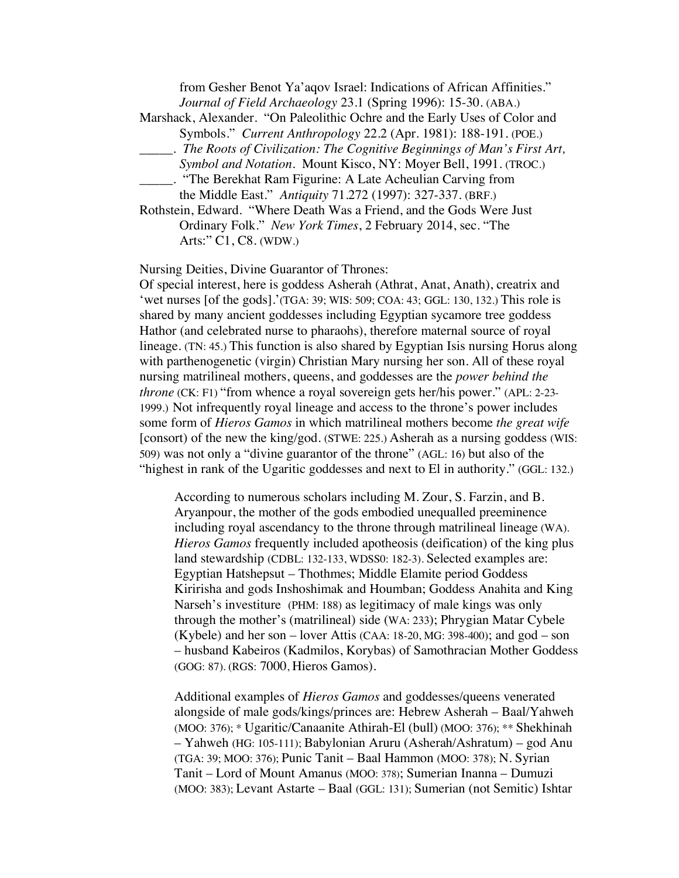from Gesher Benot Ya'aqov Israel: Indications of African Affinities." *Journal of Field Archaeology* 23.1 (Spring 1996): 15-30. (ABA.)

Marshack, Alexander. "On Paleolithic Ochre and the Early Uses of Color and Symbols." *Current Anthropology* 22.2 (Apr. 1981): 188-191. (POE.)

- \_\_\_\_\_. *The Roots of Civilization: The Cognitive Beginnings of Man's First Art,*
	- *Symbol and Notation.* Mount Kisco, NY: Moyer Bell, 1991. (TROC.)
- \_\_\_\_\_. "The Berekhat Ram Figurine: A Late Acheulian Carving from the Middle East." *Antiquity* 71.272 (1997): 327-337. (BRF.)
- Rothstein, Edward. "Where Death Was a Friend, and the Gods Were Just Ordinary Folk." *New York Times*, 2 February 2014, sec. "The Arts:" C1, C8. (WDW.)

Nursing Deities, Divine Guarantor of Thrones:

Of special interest, here is goddess Asherah (Athrat, Anat, Anath), creatrix and 'wet nurses [of the gods].'(TGA: 39; WIS: 509; COA: 43; GGL: 130, 132.) This role is shared by many ancient goddesses including Egyptian sycamore tree goddess Hathor (and celebrated nurse to pharaohs), therefore maternal source of royal lineage. (TN: 45.) This function is also shared by Egyptian Isis nursing Horus along with parthenogenetic (virgin) Christian Mary nursing her son. All of these royal nursing matrilineal mothers, queens, and goddesses are the *power behind the throne* (CK: F1) "from whence a royal sovereign gets her/his power." (APL: 2-23-1999.) Not infrequently royal lineage and access to the throne's power includes some form of *Hieros Gamos* in which matrilineal mothers become *the great wife* [consort) of the new the king/god. (STWE: 225.) Asherah as a nursing goddess (WIS: 509) was not only a "divine guarantor of the throne" (AGL: 16) but also of the "highest in rank of the Ugaritic goddesses and next to El in authority." (GGL: 132.)

According to numerous scholars including M. Zour, S. Farzin, and B. Aryanpour, the mother of the gods embodied unequalled preeminence including royal ascendancy to the throne through matrilineal lineage (WA). *Hieros Gamos* frequently included apotheosis (deification) of the king plus land stewardship (CDBL: 132-133, WDSS0: 182-3). Selected examples are: Egyptian Hatshepsut – Thothmes; Middle Elamite period Goddess Kiririsha and gods Inshoshimak and Houmban; Goddess Anahita and King Narseh's investiture (PHM: 188) as legitimacy of male kings was only through the mother's (matrilineal) side (WA: 233); Phrygian Matar Cybele (Kybele) and her son – lover Attis (CAA:  $18-20$ , MG: 398-400); and god – son – husband Kabeiros (Kadmilos, Korybas) of Samothracian Mother Goddess (GOG: 87). (RGS: 7000, Hieros Gamos).

Additional examples of *Hieros Gamos* and goddesses/queens venerated alongside of male gods/kings/princes are: Hebrew Asherah – Baal/Yahweh (MOO: 376); \* Ugaritic/Canaanite Athirah-El (bull) (MOO: 376); \*\* Shekhinah – Yahweh (HG: 105-111); Babylonian Aruru (Asherah/Ashratum) – god Anu (TGA: 39; MOO: 376); Punic Tanit – Baal Hammon (MOO: 378); N. Syrian Tanit – Lord of Mount Amanus (MOO: 378); Sumerian Inanna – Dumuzi (MOO: 383); Levant Astarte – Baal (GGL: 131); Sumerian (not Semitic) Ishtar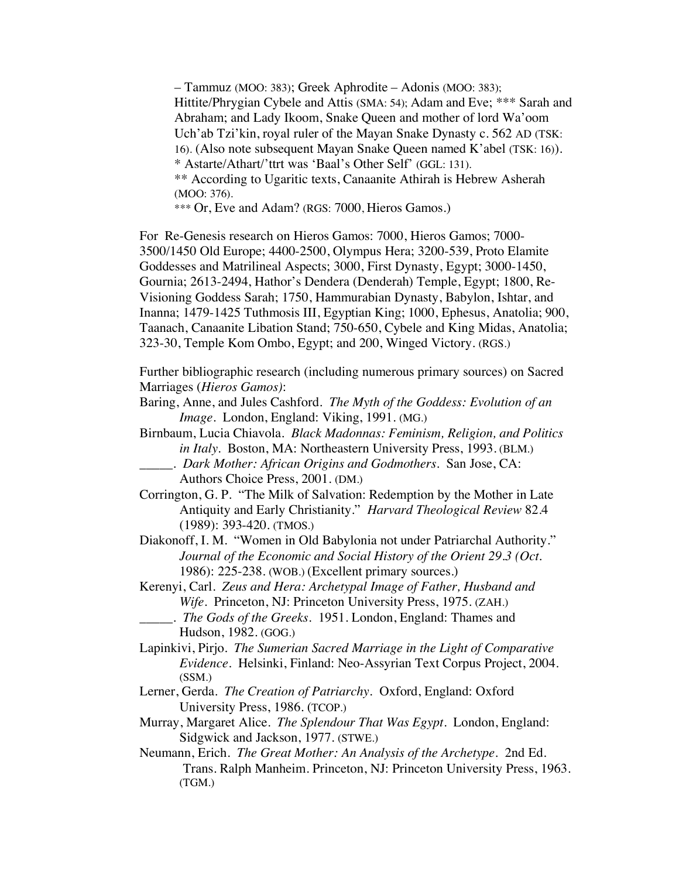– Tammuz (MOO: 383); Greek Aphrodite – Adonis (MOO: 383); Hittite/Phrygian Cybele and Attis (SMA: 54); Adam and Eve; \*\*\* Sarah and Abraham; and Lady Ikoom, Snake Queen and mother of lord Wa'oom Uch'ab Tzi'kin, royal ruler of the Mayan Snake Dynasty c. 562 AD (TSK: 16). (Also note subsequent Mayan Snake Queen named K'abel (TSK: 16)). \* Astarte/Athart/'ttrt was 'Baal's Other Self' (GGL: 131). \*\* According to Ugaritic texts, Canaanite Athirah is Hebrew Asherah (MOO: 376).

\*\*\* Or, Eve and Adam? (RGS: 7000, Hieros Gamos.)

For Re-Genesis research on Hieros Gamos: 7000, Hieros Gamos; 7000- 3500/1450 Old Europe; 4400-2500, Olympus Hera; 3200-539, Proto Elamite Goddesses and Matrilineal Aspects; 3000, First Dynasty, Egypt; 3000-1450, Gournia; 2613-2494, Hathor's Dendera (Denderah) Temple, Egypt; 1800, Re-Visioning Goddess Sarah; 1750, Hammurabian Dynasty, Babylon, Ishtar, and Inanna; 1479-1425 Tuthmosis III, Egyptian King; 1000, Ephesus, Anatolia; 900, Taanach, Canaanite Libation Stand; 750-650, Cybele and King Midas, Anatolia; 323-30, Temple Kom Ombo, Egypt; and 200, Winged Victory. (RGS.)

Further bibliographic research (including numerous primary sources) on Sacred Marriages (*Hieros Gamos)*:

- Baring, Anne, and Jules Cashford. *The Myth of the Goddess: Evolution of an Image*. London, England: Viking, 1991. (MG.)
- Birnbaum, Lucia Chiavola. *Black Madonnas: Feminism, Religion, and Politics in Italy.* Boston, MA: Northeastern University Press, 1993. (BLM.)
	- \_\_\_\_\_. *Dark Mother: African Origins and Godmothers*. San Jose, CA: Authors Choice Press, 2001. (DM.)
- Corrington, G. P. "The Milk of Salvation: Redemption by the Mother in Late Antiquity and Early Christianity." *Harvard Theological Review* 82.4 (1989): 393-420. (TMOS.)
- Diakonoff, I. M. "Women in Old Babylonia not under Patriarchal Authority." *Journal of the Economic and Social History of the Orient 29.3 (Oct.*  1986): 225-238. (WOB.) (Excellent primary sources.)
- Kerenyi, Carl. *Zeus and Hera: Archetypal Image of Father, Husband and Wife*. Princeton, NJ: Princeton University Press, 1975. (ZAH.)
	- \_\_\_\_\_. *The Gods of the Greeks*. 1951. London, England: Thames and Hudson, 1982. (GOG.)
- Lapinkivi, Pirjo. *The Sumerian Sacred Marriage in the Light of Comparative Evidence*. Helsinki, Finland: Neo-Assyrian Text Corpus Project, 2004. (SSM.)
- Lerner, Gerda. *The Creation of Patriarchy.* Oxford, England: Oxford University Press, 1986. (TCOP.)
- Murray, Margaret Alice. *The Splendour That Was Egypt.* London, England: Sidgwick and Jackson, 1977. (STWE.)
- Neumann, Erich*. The Great Mother: An Analysis of the Archetype*. 2nd Ed. Trans. Ralph Manheim. Princeton, NJ: Princeton University Press, 1963. (TGM.)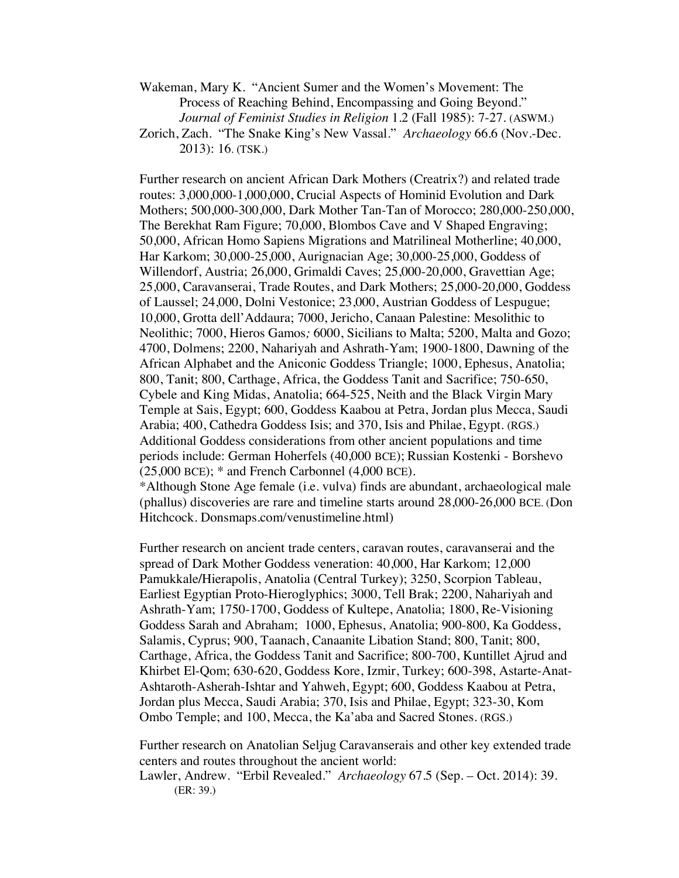Wakeman, Mary K. "Ancient Sumer and the Women's Movement: The Process of Reaching Behind, Encompassing and Going Beyond." *Journal of Feminist Studies in Religion* 1.2 (Fall 1985): 7-27. (ASWM.)

Zorich, Zach. "The Snake King's New Vassal." *Archaeology* 66.6 (Nov.-Dec. 2013): 16. (TSK.)

Further research on ancient African Dark Mothers (Creatrix?) and related trade routes: 3,000,000-1,000,000, Crucial Aspects of Hominid Evolution and Dark Mothers; 500,000-300,000, Dark Mother Tan-Tan of Morocco; 280,000-250,000, The Berekhat Ram Figure; 70,000, Blombos Cave and V Shaped Engraving; 50,000, African Homo Sapiens Migrations and Matrilineal Motherline; 40,000, Har Karkom; 30,000-25,000, Aurignacian Age; 30,000-25,000, Goddess of Willendorf, Austria; 26,000, Grimaldi Caves; 25,000-20,000, Gravettian Age; 25,000, Caravanserai, Trade Routes, and Dark Mothers; 25,000-20,000, Goddess of Laussel; 24,000, Dolni Vestonice; 23,000, Austrian Goddess of Lespugue; 10,000, Grotta dell'Addaura; 7000, Jericho, Canaan Palestine: Mesolithic to Neolithic; 7000, Hieros Gamos*;* 6000, Sicilians to Malta; 5200, Malta and Gozo; 4700, Dolmens; 2200, Nahariyah and Ashrath-Yam; 1900-1800, Dawning of the African Alphabet and the Aniconic Goddess Triangle; 1000, Ephesus, Anatolia; 800, Tanit; 800, Carthage, Africa, the Goddess Tanit and Sacrifice; 750-650, Cybele and King Midas, Anatolia; 664-525, Neith and the Black Virgin Mary Temple at Sais, Egypt; 600, Goddess Kaabou at Petra, Jordan plus Mecca, Saudi Arabia; 400, Cathedra Goddess Isis; and 370, Isis and Philae, Egypt. (RGS.) Additional Goddess considerations from other ancient populations and time periods include: German Hoherfels (40,000 BCE); Russian Kostenki - Borshevo  $(25,000 \text{ BCE})$ ;  $*$  and French Carbonnel  $(4,000 \text{ BCE})$ . \*Although Stone Age female (i.e. vulva) finds are abundant, archaeological male

(phallus) discoveries are rare and timeline starts around 28,000-26,000 BCE. (Don Hitchcock. Donsmaps.com/venustimeline.html)

Further research on ancient trade centers, caravan routes, caravanserai and the spread of Dark Mother Goddess veneration: 40,000, Har Karkom; 12,000 Pamukkale*/*Hierapolis, Anatolia (Central Turkey); 3250, Scorpion Tableau, Earliest Egyptian Proto-Hieroglyphics; 3000, Tell Brak; 2200, Nahariyah and Ashrath-Yam; 1750-1700, Goddess of Kultepe, Anatolia; 1800, Re-Visioning Goddess Sarah and Abraham; 1000, Ephesus, Anatolia; 900-800, Ka Goddess, Salamis, Cyprus; 900, Taanach, Canaanite Libation Stand; 800, Tanit; 800, Carthage, Africa, the Goddess Tanit and Sacrifice; 800-700, Kuntillet Ajrud and Khirbet El-Qom; 630-620, Goddess Kore, Izmir, Turkey; 600-398, Astarte-Anat-Ashtaroth-Asherah-Ishtar and Yahweh, Egypt; 600, Goddess Kaabou at Petra, Jordan plus Mecca, Saudi Arabia; 370, Isis and Philae, Egypt; 323-30, Kom Ombo Temple; and 100, Mecca, the Ka'aba and Sacred Stones. (RGS.)

Further research on Anatolian Seljug Caravanserais and other key extended trade centers and routes throughout the ancient world: Lawler, Andrew. "Erbil Revealed." *Archaeology* 67.5 (Sep. – Oct. 2014): 39. (ER: 39.)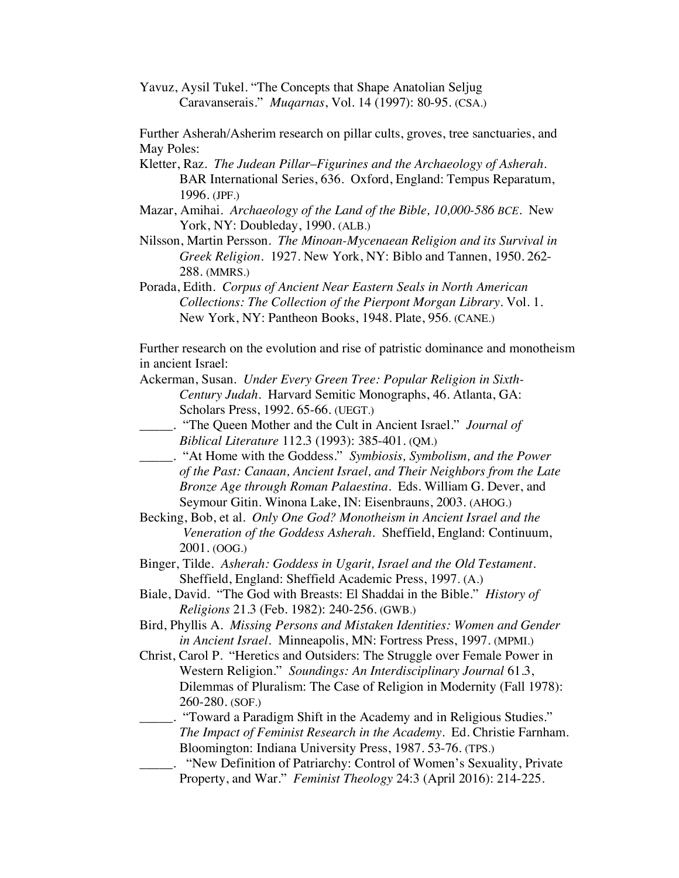Yavuz, Aysil Tukel. "The Concepts that Shape Anatolian Seljug Caravanserais." *Muqarnas*, Vol. 14 (1997): 80-95. (CSA.)

Further Asherah/Asherim research on pillar cults, groves, tree sanctuaries, and May Poles:

- Kletter, Raz. *The Judean Pillar*–*Figurines and the Archaeology of Asherah*. BAR International Series, 636. Oxford, England: Tempus Reparatum, 1996. (JPF.)
- Mazar, Amihai. *Archaeology of the Land of the Bible, 10,000-586 BCE.* New York, NY: Doubleday, 1990. (ALB.)
- Nilsson, Martin Persson*. The Minoan-Mycenaean Religion and its Survival in Greek Religion.* 1927. New York, NY: Biblo and Tannen, 1950. 262- 288. (MMRS.)
- Porada, Edith. *Corpus of Ancient Near Eastern Seals in North American Collections: The Collection of the Pierpont Morgan Library*. Vol. 1. New York, NY: Pantheon Books, 1948. Plate, 956. (CANE.)

Further research on the evolution and rise of patristic dominance and monotheism in ancient Israel:

- Ackerman, Susan. *Under Every Green Tree: Popular Religion in Sixth-Century Judah*. Harvard Semitic Monographs, 46. Atlanta, GA: Scholars Press, 1992. 65-66. (UEGT.)
- \_\_\_\_\_. "The Queen Mother and the Cult in Ancient Israel." *Journal of Biblical Literature* 112.3 (1993): 385-401. (QM.)
- \_\_\_\_\_. "At Home with the Goddess." *Symbiosis, Symbolism, and the Power of the Past: Canaan, Ancient Israel, and Their Neighbors from the Late Bronze Age through Roman Palaestina.* Eds. William G. Dever, and Seymour Gitin. Winona Lake, IN: Eisenbrauns, 2003. (AHOG.)
- Becking, Bob, et al. *Only One God? Monotheism in Ancient Israel and the Veneration of the Goddess Asherah.* Sheffield, England: Continuum, 2001. (OOG.)
- Binger, Tilde. *Asherah: Goddess in Ugarit, Israel and the Old Testament.* Sheffield, England: Sheffield Academic Press, 1997. (A.)
- Biale, David. "The God with Breasts: El Shaddai in the Bible." *History of Religions* 21.3 (Feb. 1982): 240-256. (GWB.)
- Bird, Phyllis A. *Missing Persons and Mistaken Identities: Women and Gender in Ancient Israel.* Minneapolis, MN: Fortress Press, 1997. (MPMI.)
- Christ, Carol P. "Heretics and Outsiders: The Struggle over Female Power in Western Religion." *Soundings: An Interdisciplinary Journal* 61.3, Dilemmas of Pluralism: The Case of Religion in Modernity (Fall 1978): 260-280. (SOF.)
	- \_\_\_\_\_. "Toward a Paradigm Shift in the Academy and in Religious Studies." *The Impact of Feminist Research in the Academy*. Ed. Christie Farnham. Bloomington: Indiana University Press, 1987. 53-76. (TPS.)
	- \_\_\_\_\_. "New Definition of Patriarchy: Control of Women's Sexuality, Private Property, and War." *Feminist Theology* 24:3 (April 2016): 214-225.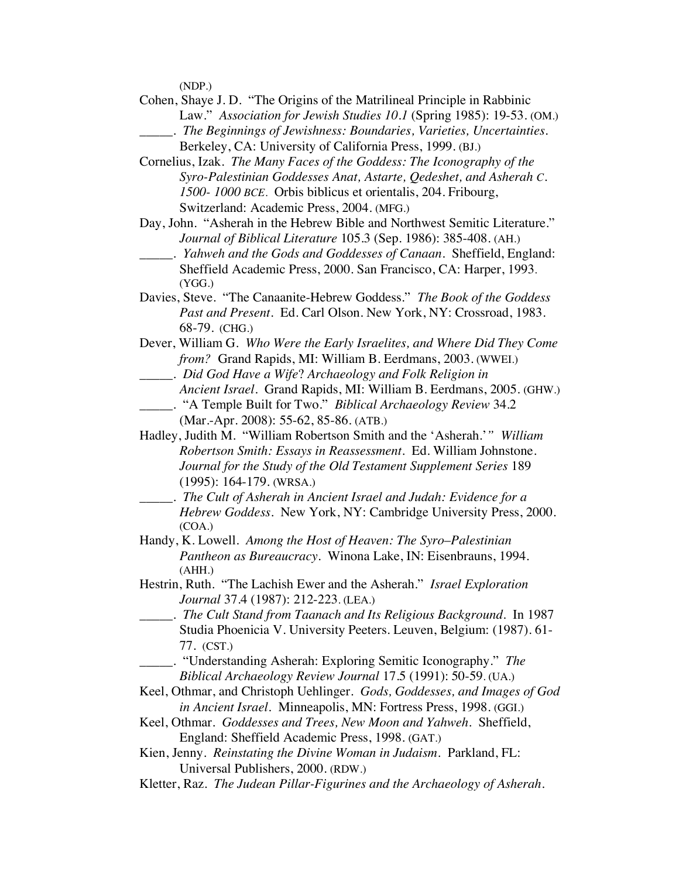(NDP.)

- Cohen, Shaye J. D. "The Origins of the Matrilineal Principle in Rabbinic Law." *Association for Jewish Studies 10.1* (Spring 1985): 19-53. (OM.)
	- \_\_\_\_\_. *The Beginnings of Jewishness: Boundaries, Varieties, Uncertainties.* Berkeley, CA: University of California Press, 1999. (BJ.)
- Cornelius, Izak. *The Many Faces of the Goddess: The Iconography of the Syro-Palestinian Goddesses Anat, Astarte, Qedeshet, and Asherah C. 1500- 1000 BCE.* Orbis biblicus et orientalis, 204. Fribourg, Switzerland: Academic Press, 2004. (MFG.)
- Day, John. "Asherah in the Hebrew Bible and Northwest Semitic Literature." *Journal of Biblical Literature* 105.3 (Sep. 1986): 385-408. (AH.)
- \_\_\_\_\_. *Yahweh and the Gods and Goddesses of Canaan*. Sheffield, England: Sheffield Academic Press, 2000. San Francisco, CA: Harper, 1993. (YGG.)
- Davies, Steve. "The Canaanite-Hebrew Goddess." *The Book of the Goddess Past and Present*. Ed. Carl Olson. New York, NY: Crossroad, 1983. 68-79. (CHG.)
- Dever, William G. *Who Were the Early Israelites, and Where Did They Come from?* Grand Rapids, MI: William B. Eerdmans, 2003. (WWEI.) \_\_\_\_\_. *Did God Have a Wife*? *Archaeology and Folk Religion in*
	- *Ancient Israel.* Grand Rapids, MI: William B. Eerdmans, 2005. (GHW.)
- \_\_\_\_\_. "A Temple Built for Two." *Biblical Archaeology Review* 34.2 (Mar.-Apr. 2008): 55-62, 85-86. (ATB.)
- Hadley, Judith M. "William Robertson Smith and the 'Asherah.'*" William Robertson Smith: Essays in Reassessment*. Ed. William Johnstone. *Journal for the Study of the Old Testament Supplement Series* 189 (1995): 164-179. (WRSA.)
- \_\_\_\_\_. *The Cult of Asherah in Ancient Israel and Judah: Evidence for a Hebrew Goddess*. New York, NY: Cambridge University Press, 2000. (COA.)
- Handy, K. Lowell. *Among the Host of Heaven: The Syro*–*Palestinian Pantheon as Bureaucracy*. Winona Lake, IN: Eisenbrauns, 1994. (AHH.)
- Hestrin, Ruth. "The Lachish Ewer and the Asherah." *Israel Exploration Journal* 37.4 (1987): 212-223. (LEA.)
- \_\_\_\_\_. *The Cult Stand from Taanach and Its Religious Background*. In 1987 Studia Phoenicia V. University Peeters. Leuven, Belgium: (1987). 61- 77. (CST.)
	- \_\_\_\_\_. "Understanding Asherah: Exploring Semitic Iconography." *The Biblical Archaeology Review Journal* 17.5 (1991): 50-59. (UA.)
- Keel, Othmar, and Christoph Uehlinger. *Gods, Goddesses, and Images of God in Ancient Israel.* Minneapolis, MN: Fortress Press, 1998. (GGI.)
- Keel, Othmar. *Goddesses and Trees, New Moon and Yahweh*. Sheffield, England: Sheffield Academic Press, 1998. (GAT.)
- Kien, Jenny. *Reinstating the Divine Woman in Judaism.* Parkland, FL: Universal Publishers, 2000. (RDW.)
- Kletter, Raz. *The Judean Pillar-Figurines and the Archaeology of Asherah*.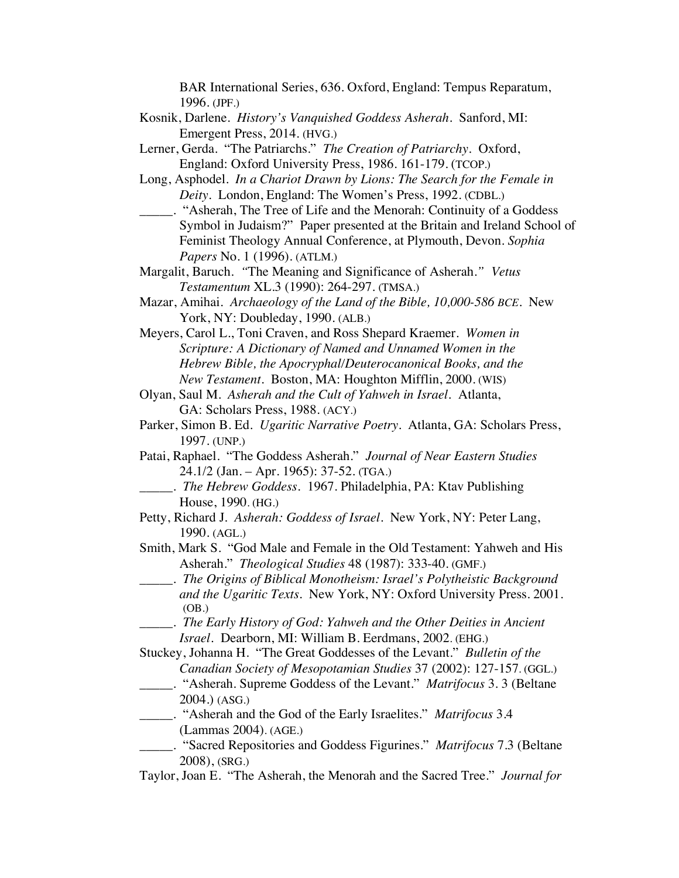BAR International Series, 636. Oxford, England: Tempus Reparatum, 1996. (JPF.)

- Kosnik, Darlene. *History's Vanquished Goddess Asherah*. Sanford, MI: Emergent Press, 2014. (HVG.)
- Lerner, Gerda. "The Patriarchs." *The Creation of Patriarchy.* Oxford, England: Oxford University Press, 1986. 161-179. (TCOP.)
- Long, Asphodel. *In a Chariot Drawn by Lions: The Search for the Female in Deity.* London, England: The Women's Press, 1992. (CDBL.)
- \_\_\_\_\_. "Asherah, The Tree of Life and the Menorah: Continuity of a Goddess Symbol in Judaism?" Paper presented at the Britain and Ireland School of Feminist Theology Annual Conference, at Plymouth, Devon. *Sophia Papers* No. 1 (1996). (ATLM.)
- Margalit, Baruch. *"*The Meaning and Significance of Asherah.*" Vetus Testamentum* XL.3 (1990): 264-297. (TMSA.)
- Mazar, Amihai. *Archaeology of the Land of the Bible, 10,000-586 BCE.* New York, NY: Doubleday, 1990. (ALB.)
- Meyers, Carol L., Toni Craven, and Ross Shepard Kraemer. *Women in Scripture: A Dictionary of Named and Unnamed Women in the Hebrew Bible, the Apocryphal/Deuterocanonical Books, and the New Testament*. Boston, MA: Houghton Mifflin, 2000. (WIS)
- Olyan, Saul M. *Asherah and the Cult of Yahweh in Israel.* Atlanta, GA: Scholars Press, 1988. (ACY.)
- Parker, Simon B. Ed. *Ugaritic Narrative Poetry.* Atlanta, GA: Scholars Press, 1997. (UNP.)
- Patai, Raphael. "The Goddess Asherah." *Journal of Near Eastern Studies* 24.1/2 (Jan. – Apr. 1965): 37-52. (TGA.)
	- \_\_\_\_\_. *The Hebrew Goddess.* 1967. Philadelphia, PA: Ktav Publishing House, 1990. (HG.)
- Petty, Richard J*. Asherah: Goddess of Israel*. New York, NY: Peter Lang, 1990. (AGL.)
- Smith, Mark S. "God Male and Female in the Old Testament: Yahweh and His Asherah." *Theological Studies* 48 (1987): 333-40. (GMF.)
- \_\_\_\_\_. *The Origins of Biblical Monotheism: Israel's Polytheistic Background and the Ugaritic Texts*. New York, NY: Oxford University Press. 2001. (OB.)
- \_\_\_\_\_. *The Early History of God: Yahweh and the Other Deities in Ancient Israel.* Dearborn, MI: William B. Eerdmans, 2002. (EHG.)
- Stuckey, Johanna H. "The Great Goddesses of the Levant." *Bulletin of the Canadian Society of Mesopotamian Studies* 37 (2002): 127-157. (GGL.)
- \_\_\_\_\_. "Asherah. Supreme Goddess of the Levant." *Matrifocus* 3. 3 (Beltane 2004.) (ASG.)
- \_\_\_\_\_. "Asherah and the God of the Early Israelites." *Matrifocus* 3.4 (Lammas 2004). (AGE.)
- \_\_\_\_\_. "Sacred Repositories and Goddess Figurines." *Matrifocus* 7.3 (Beltane 2008), (SRG.)
- Taylor, Joan E. "The Asherah, the Menorah and the Sacred Tree." *Journal for*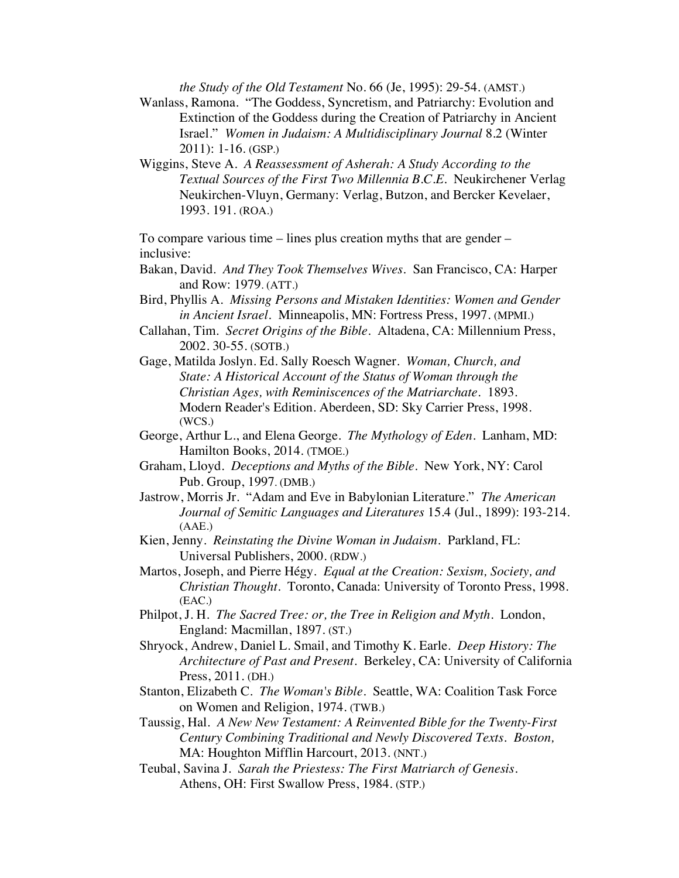*the Study of the Old Testament* No. 66 (Je, 1995): 29-54. (AMST.)

- Wanlass, Ramona. "The Goddess, Syncretism, and Patriarchy: Evolution and Extinction of the Goddess during the Creation of Patriarchy in Ancient Israel." *Women in Judaism: A Multidisciplinary Journal* 8.2 (Winter 2011): 1-16. (GSP.)
- Wiggins, Steve A. *A Reassessment of Asherah: A Study According to the Textual Sources of the First Two Millennia B.C.E.* Neukirchener Verlag Neukirchen-Vluyn, Germany: Verlag, Butzon, and Bercker Kevelaer, 1993. 191. (ROA.)

To compare various time – lines plus creation myths that are gender – inclusive:

- Bakan, David. *And They Took Themselves Wives*. San Francisco, CA: Harper and Row: 1979. (ATT.)
- Bird, Phyllis A. *Missing Persons and Mistaken Identities: Women and Gender in Ancient Israel.* Minneapolis, MN: Fortress Press, 1997. (MPMI.)
- Callahan, Tim. *Secret Origins of the Bible.* Altadena, CA: Millennium Press, 2002. 30-55. (SOTB.)
- Gage, Matilda Joslyn. Ed. Sally Roesch Wagner. *Woman, Church, and State: A Historical Account of the Status of Woman through the Christian Ages, with Reminiscences of the Matriarchate*. 1893. Modern Reader's Edition. Aberdeen, SD: Sky Carrier Press, 1998. (WCS.)
- George, Arthur L., and Elena George. *The Mythology of Eden*. Lanham, MD: Hamilton Books, 2014. (TMOE.)
- Graham, Lloyd. *Deceptions and Myths of the Bible*. New York, NY: Carol Pub. Group, 1997. (DMB.)
- Jastrow, Morris Jr. "Adam and Eve in Babylonian Literature." *The American Journal of Semitic Languages and Literatures* 15.4 (Jul., 1899): 193-214. (AAE.)
- Kien, Jenny. *Reinstating the Divine Woman in Judaism.* Parkland, FL: Universal Publishers, 2000. (RDW.)
- Martos, Joseph, and Pierre Hégy. *Equal at the Creation: Sexism, Society, and Christian Thought*. Toronto, Canada: University of Toronto Press, 1998. (EAC.)
- Philpot, J. H. *The Sacred Tree: or, the Tree in Religion and Myth*. London, England: Macmillan, 1897. (ST.)
- Shryock, Andrew, Daniel L. Smail, and Timothy K. Earle. *Deep History: The Architecture of Past and Present*. Berkeley, CA: University of California Press, 2011. (DH.)
- Stanton, Elizabeth C. *The Woman's Bible*. Seattle, WA: Coalition Task Force on Women and Religion, 1974. (TWB.)
- Taussig, Hal. *A New New Testament: A Reinvented Bible for the Twenty-First Century Combining Traditional and Newly Discovered Texts. Boston,*  MA: Houghton Mifflin Harcourt, 2013. (NNT.)
- Teubal, Savina J. *Sarah the Priestess: The First Matriarch of Genesis*. Athens, OH: First Swallow Press, 1984. (STP.)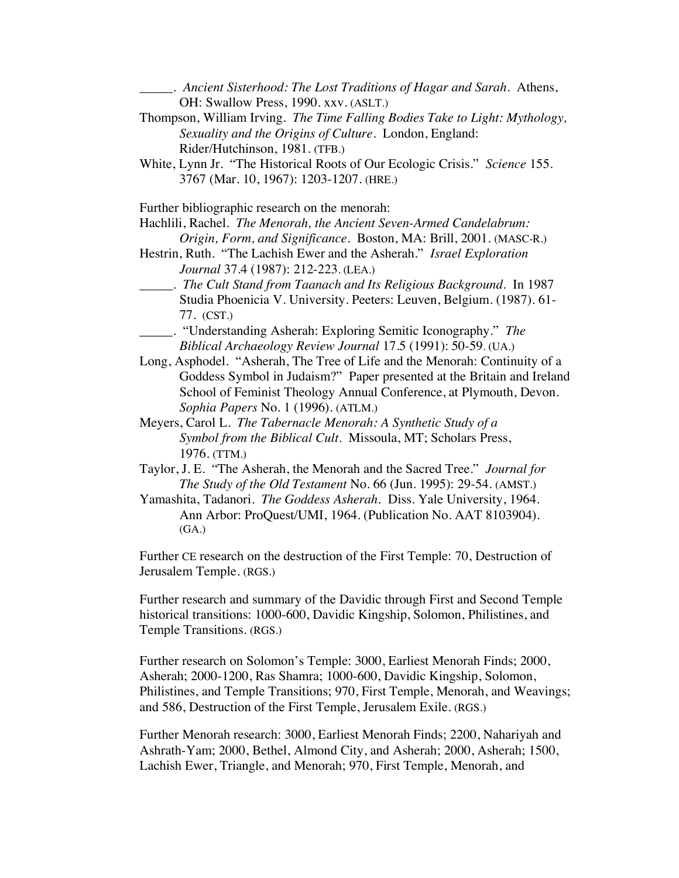\_\_\_\_\_. *Ancient Sisterhood: The Lost Traditions of Hagar and Sarah*. Athens, OH: Swallow Press, 1990. xxv. (ASLT.)

- Thompson, William Irving. *The Time Falling Bodies Take to Light: Mythology, Sexuality and the Origins of Culture.* London, England: Rider/Hutchinson, 1981. (TFB.)
- White, Lynn Jr. "The Historical Roots of Our Ecologic Crisis." *Science* 155. 3767 (Mar. 10, 1967): 1203-1207. (HRE.)

Further bibliographic research on the menorah:

Hachlili, Rachel. *The Menorah, the Ancient Seven-Armed Candelabrum: Origin, Form, and Significance.* Boston, MA: Brill, 2001. (MASC-R.)

- Hestrin, Ruth. "The Lachish Ewer and the Asherah." *Israel Exploration Journal* 37.4 (1987): 212-223. (LEA.)
- \_\_\_\_\_. *The Cult Stand from Taanach and Its Religious Background*. In 1987 Studia Phoenicia V. University. Peeters: Leuven, Belgium. (1987). 61- 77. (CST.)
- \_\_\_\_\_. "Understanding Asherah: Exploring Semitic Iconography." *The Biblical Archaeology Review Journal* 17.5 (1991): 50-59. (UA.)
- Long, Asphodel. "Asherah, The Tree of Life and the Menorah: Continuity of a Goddess Symbol in Judaism?" Paper presented at the Britain and Ireland School of Feminist Theology Annual Conference, at Plymouth, Devon. *Sophia Papers* No. 1 (1996). (ATLM.)
- Meyers, Carol L. *The Tabernacle Menorah: A Synthetic Study of a Symbol from the Biblical Cult*. Missoula, MT; Scholars Press, 1976. (TTM.)
- Taylor, J. E. "The Asherah, the Menorah and the Sacred Tree." *Journal for The Study of the Old Testament* No. 66 (Jun. 1995): 29-54. (AMST.)
- Yamashita, Tadanori. *The Goddess Asherah.* Diss. Yale University, 1964. Ann Arbor: ProQuest/UMI, 1964. (Publication No. AAT 8103904). (GA.)

Further CE research on the destruction of the First Temple: 70, Destruction of Jerusalem Temple. (RGS.)

Further research and summary of the Davidic through First and Second Temple historical transitions: 1000-600, Davidic Kingship, Solomon, Philistines, and Temple Transitions. (RGS.)

Further research on Solomon's Temple: 3000, Earliest Menorah Finds; 2000, Asherah; 2000-1200, Ras Shamra; 1000-600, Davidic Kingship, Solomon, Philistines, and Temple Transitions; 970, First Temple, Menorah, and Weavings; and 586, Destruction of the First Temple, Jerusalem Exile. (RGS.)

Further Menorah research: 3000, Earliest Menorah Finds; 2200, Nahariyah and Ashrath-Yam; 2000, Bethel, Almond City, and Asherah; 2000, Asherah; 1500, Lachish Ewer, Triangle, and Menorah; 970, First Temple, Menorah, and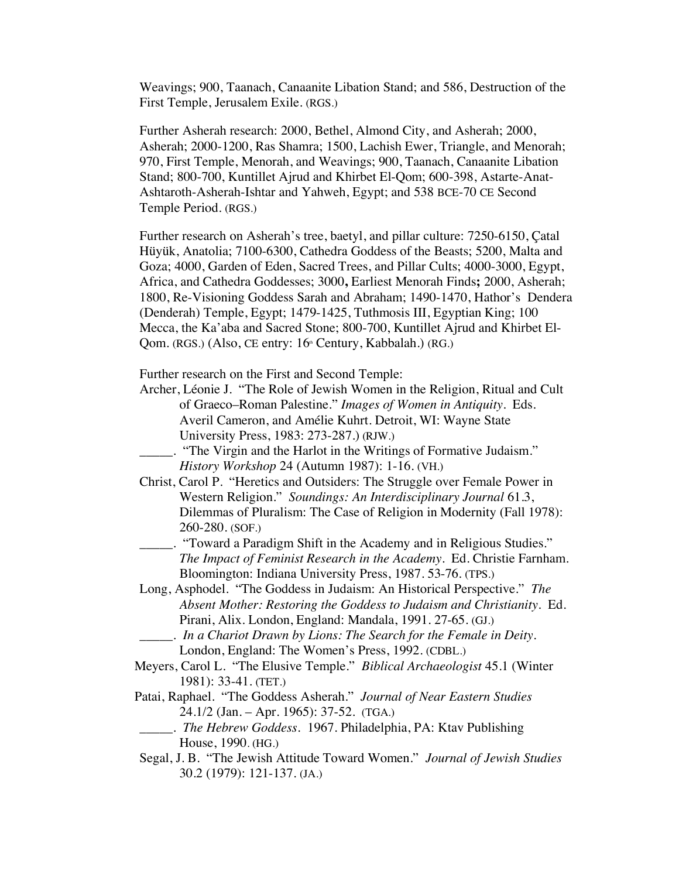Weavings; 900, Taanach, Canaanite Libation Stand; and 586, Destruction of the First Temple, Jerusalem Exile. (RGS.)

Further Asherah research: 2000, Bethel, Almond City, and Asherah; 2000, Asherah; 2000-1200, Ras Shamra; 1500, Lachish Ewer, Triangle, and Menorah; 970, First Temple, Menorah, and Weavings; 900, Taanach, Canaanite Libation Stand; 800-700, Kuntillet Ajrud and Khirbet El-Qom; 600-398, Astarte-Anat-Ashtaroth-Asherah-Ishtar and Yahweh, Egypt; and 538 BCE-70 CE Second Temple Period. (RGS.)

Further research on Asherah's tree, baetyl, and pillar culture: 7250-6150, Çatal Hüyük, Anatolia; 7100-6300, Cathedra Goddess of the Beasts; 5200, Malta and Goza; 4000, Garden of Eden, Sacred Trees, and Pillar Cults; 4000-3000, Egypt, Africa, and Cathedra Goddesses; 3000**,** Earliest Menorah Finds**;** 2000, Asherah; 1800, Re-Visioning Goddess Sarah and Abraham; 1490-1470, Hathor's Dendera (Denderah) Temple, Egypt; 1479-1425, Tuthmosis III, Egyptian King; 100 Mecca, the Ka'aba and Sacred Stone; 800-700, Kuntillet Ajrud and Khirbet El-Qom. (RGS.) (Also, CE entry: 16<sup>th</sup> Century, Kabbalah.) (RG.)

Further research on the First and Second Temple:

- Archer, Léonie J. "The Role of Jewish Women in the Religion, Ritual and Cult of Graeco–Roman Palestine." *Images of Women in Antiquity*. Eds. Averil Cameron, and Amélie Kuhrt. Detroit, WI: Wayne State University Press, 1983: 273-287.) (RJW.)
	- \_\_\_\_\_. "The Virgin and the Harlot in the Writings of Formative Judaism." *History Workshop* 24 (Autumn 1987): 1-16. (VH.)
- Christ, Carol P. "Heretics and Outsiders: The Struggle over Female Power in Western Religion." *Soundings: An Interdisciplinary Journal* 61.3, Dilemmas of Pluralism: The Case of Religion in Modernity (Fall 1978): 260-280. (SOF.)
- \_\_\_\_\_. "Toward a Paradigm Shift in the Academy and in Religious Studies." *The Impact of Feminist Research in the Academy*. Ed. Christie Farnham. Bloomington: Indiana University Press, 1987. 53-76. (TPS.)
- Long, Asphodel. "The Goddess in Judaism: An Historical Perspective." *The Absent Mother: Restoring the Goddess to Judaism and Christianity.* Ed. Pirani, Alix. London, England: Mandala, 1991. 27-65. (GJ.)
	- \_\_\_\_\_. *In a Chariot Drawn by Lions: The Search for the Female in Deity.* London, England: The Women's Press, 1992. (CDBL.)
- Meyers, Carol L. "The Elusive Temple." *Biblical Archaeologist* 45.1 (Winter 1981): 33-41. (TET.)
- Patai, Raphael. "The Goddess Asherah." *Journal of Near Eastern Studies* 24.1/2 (Jan. – Apr. 1965): 37-52. (TGA.)
	- \_\_\_\_\_. *The Hebrew Goddess.* 1967. Philadelphia, PA: Ktav Publishing House, 1990. (HG.)
- Segal, J. B. "The Jewish Attitude Toward Women." *Journal of Jewish Studies* 30.2 (1979): 121-137. (JA.)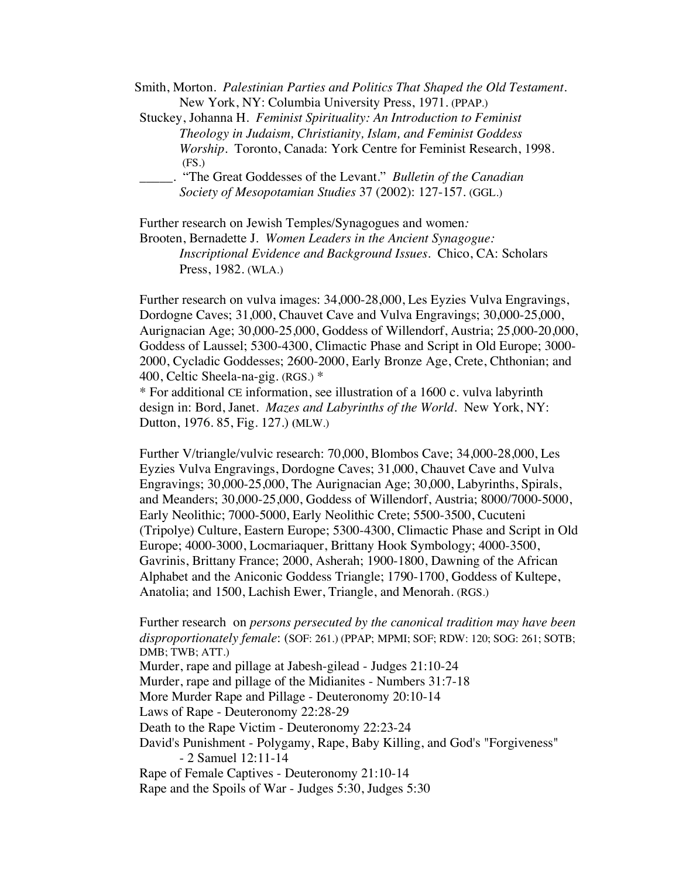Smith, Morton. *Palestinian Parties and Politics That Shaped the Old Testament*. New York, NY: Columbia University Press, 1971. (PPAP.)

Stuckey, Johanna H. *Feminist Spirituality: An Introduction to Feminist Theology in Judaism, Christianity, Islam, and Feminist Goddess Worship.* Toronto, Canada: York Centre for Feminist Research, 1998. (FS.)

\_\_\_\_\_. "The Great Goddesses of the Levant." *Bulletin of the Canadian Society of Mesopotamian Studies* 37 (2002): 127-157. (GGL.)

Further research on Jewish Temples/Synagogues and women*:*

Brooten, Bernadette J. *Women Leaders in the Ancient Synagogue: Inscriptional Evidence and Background Issues*. Chico, CA: Scholars Press, 1982. (WLA.)

Further research on vulva images: 34,000-28,000, Les Eyzies Vulva Engravings, Dordogne Caves; 31,000, Chauvet Cave and Vulva Engravings; 30,000-25,000, Aurignacian Age; 30,000-25,000, Goddess of Willendorf, Austria; 25,000-20,000, Goddess of Laussel; 5300-4300, Climactic Phase and Script in Old Europe; 3000- 2000, Cycladic Goddesses; 2600-2000, Early Bronze Age, Crete, Chthonian; and 400, Celtic Sheela-na-gig. (RGS.) \*

\* For additional CE information, see illustration of a 1600 c. vulva labyrinth design in: Bord, Janet. *Mazes and Labyrinths of the World*. New York, NY: Dutton, 1976. 85, Fig. 127.) **(**MLW.)

Further V/triangle/vulvic research: 70,000, Blombos Cave; 34,000-28,000, Les Eyzies Vulva Engravings, Dordogne Caves; 31,000, Chauvet Cave and Vulva Engravings; 30,000-25,000, The Aurignacian Age; 30,000, Labyrinths, Spirals, and Meanders; 30,000-25,000, Goddess of Willendorf, Austria; 8000/7000-5000, Early Neolithic; 7000-5000, Early Neolithic Crete; 5500-3500, Cucuteni (Tripolye) Culture, Eastern Europe; 5300-4300, Climactic Phase and Script in Old Europe; 4000-3000, Locmariaquer, Brittany Hook Symbology; 4000-3500, Gavrinis, Brittany France; 2000, Asherah; 1900-1800, Dawning of the African Alphabet and the Aniconic Goddess Triangle; 1790-1700, Goddess of Kultepe, Anatolia; and 1500, Lachish Ewer, Triangle, and Menorah. (RGS.)

Further research on *persons persecuted by the canonical tradition may have been disproportionately female*: (SOF: 261.) (PPAP; MPMI; SOF; RDW: 120; SOG: 261; SOTB; DMB; TWB; ATT.) Murder, rape and pillage at Jabesh-gilead - Judges 21:10-24 Murder, rape and pillage of the Midianites - Numbers 31:7-18 More Murder Rape and Pillage - Deuteronomy 20:10-14 Laws of Rape - Deuteronomy 22:28-29 Death to the Rape Victim - Deuteronomy 22:23-24 David's Punishment - Polygamy, Rape, Baby Killing, and God's "Forgiveness" - 2 Samuel 12:11-14 Rape of Female Captives - Deuteronomy 21:10-14 Rape and the Spoils of War - Judges 5:30, Judges 5:30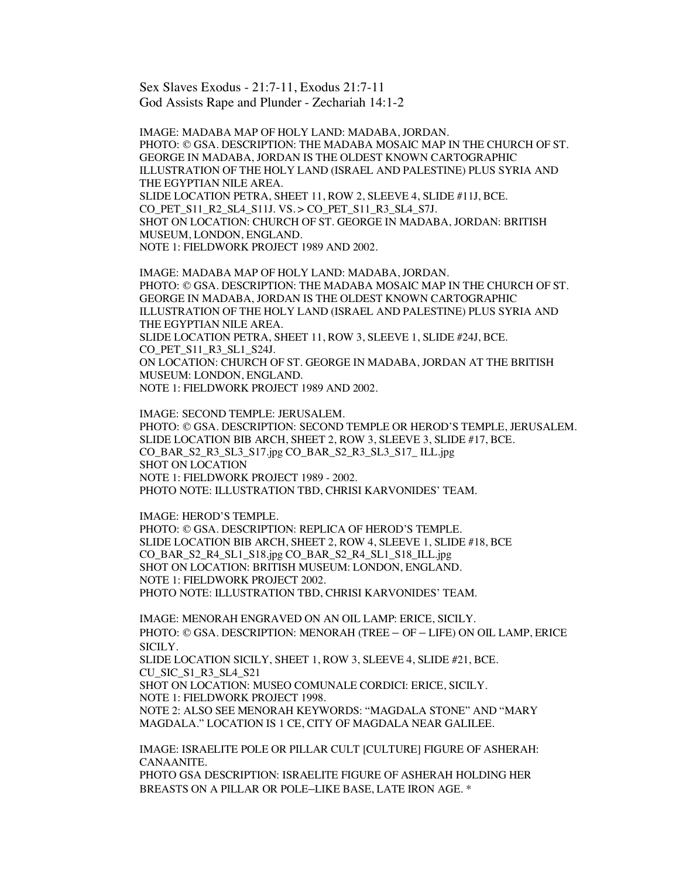Sex Slaves Exodus - 21:7-11, Exodus 21:7-11 God Assists Rape and Plunder - Zechariah 14:1-2

IMAGE: MADABA MAP OF HOLY LAND: MADABA, JORDAN. PHOTO: © GSA. DESCRIPTION: THE MADABA MOSAIC MAP IN THE CHURCH OF ST. GEORGE IN MADABA, JORDAN IS THE OLDEST KNOWN CARTOGRAPHIC ILLUSTRATION OF THE HOLY LAND (ISRAEL AND PALESTINE) PLUS SYRIA AND THE EGYPTIAN NILE AREA. SLIDE LOCATION PETRA, SHEET 11, ROW 2, SLEEVE 4, SLIDE #11J, BCE. CO PET S11\_R2\_SL4\_S11J. VS. > CO\_PET\_S11\_R3\_SL4\_S7J. SHOT ON LOCATION: CHURCH OF ST. GEORGE IN MADABA, JORDAN: BRITISH MUSEUM, LONDON, ENGLAND. NOTE 1: FIELDWORK PROJECT 1989 AND 2002.

IMAGE: MADABA MAP OF HOLY LAND: MADABA, JORDAN. PHOTO: © GSA. DESCRIPTION: THE MADABA MOSAIC MAP IN THE CHURCH OF ST. GEORGE IN MADABA, JORDAN IS THE OLDEST KNOWN CARTOGRAPHIC ILLUSTRATION OF THE HOLY LAND (ISRAEL AND PALESTINE) PLUS SYRIA AND THE EGYPTIAN NILE AREA. SLIDE LOCATION PETRA, SHEET 11, ROW 3, SLEEVE 1, SLIDE #24J, BCE. CO PET S11 R3 SL1 S24J. ON LOCATION: CHURCH OF ST. GEORGE IN MADABA, JORDAN AT THE BRITISH MUSEUM: LONDON, ENGLAND. NOTE 1: FIELDWORK PROJECT 1989 AND 2002.

IMAGE: SECOND TEMPLE: JERUSALEM. PHOTO: © GSA. DESCRIPTION: SECOND TEMPLE OR HEROD'S TEMPLE, JERUSALEM. SLIDE LOCATION BIB ARCH, SHEET 2, ROW 3, SLEEVE 3, SLIDE #17, BCE. CO\_BAR\_S2\_R3\_SL3\_S17.jpg CO\_BAR\_S2\_R3\_SL3\_S17\_ ILL.jpg SHOT ON LOCATION NOTE 1: FIELDWORK PROJECT 1989 - 2002. PHOTO NOTE: ILLUSTRATION TBD, CHRISI KARVONIDES' TEAM.

IMAGE: HEROD'S TEMPLE. PHOTO: © GSA. DESCRIPTION: REPLICA OF HEROD'S TEMPLE. SLIDE LOCATION BIB ARCH, SHEET 2, ROW 4, SLEEVE 1, SLIDE #18, BCE CO\_BAR\_S2\_R4\_SL1\_S18.jpg CO\_BAR\_S2\_R4\_SL1\_S18\_ILL.jpg SHOT ON LOCATION: BRITISH MUSEUM: LONDON, ENGLAND. NOTE 1: FIELDWORK PROJECT 2002. PHOTO NOTE: ILLUSTRATION TBD, CHRISI KARVONIDES' TEAM.

IMAGE: MENORAH ENGRAVED ON AN OIL LAMP: ERICE, SICILY. PHOTO: © GSA. DESCRIPTION: MENORAH (TREE – OF – LIFE) ON OIL LAMP, ERICE SICILY.

SLIDE LOCATION SICILY, SHEET 1, ROW 3, SLEEVE 4, SLIDE #21, BCE. CU\_SIC\_S1\_R3\_SL4\_S21

SHOT ON LOCATION: MUSEO COMUNALE CORDICI: ERICE, SICILY. NOTE 1: FIELDWORK PROJECT 1998.

NOTE 2: ALSO SEE MENORAH KEYWORDS: "MAGDALA STONE" AND "MARY MAGDALA." LOCATION IS 1 CE, CITY OF MAGDALA NEAR GALILEE.

IMAGE: ISRAELITE POLE OR PILLAR CULT [CULTURE] FIGURE OF ASHERAH: CANAANITE.

PHOTO GSA DESCRIPTION: ISRAELITE FIGURE OF ASHERAH HOLDING HER BREASTS ON A PILLAR OR POLE–LIKE BASE, LATE IRON AGE. \*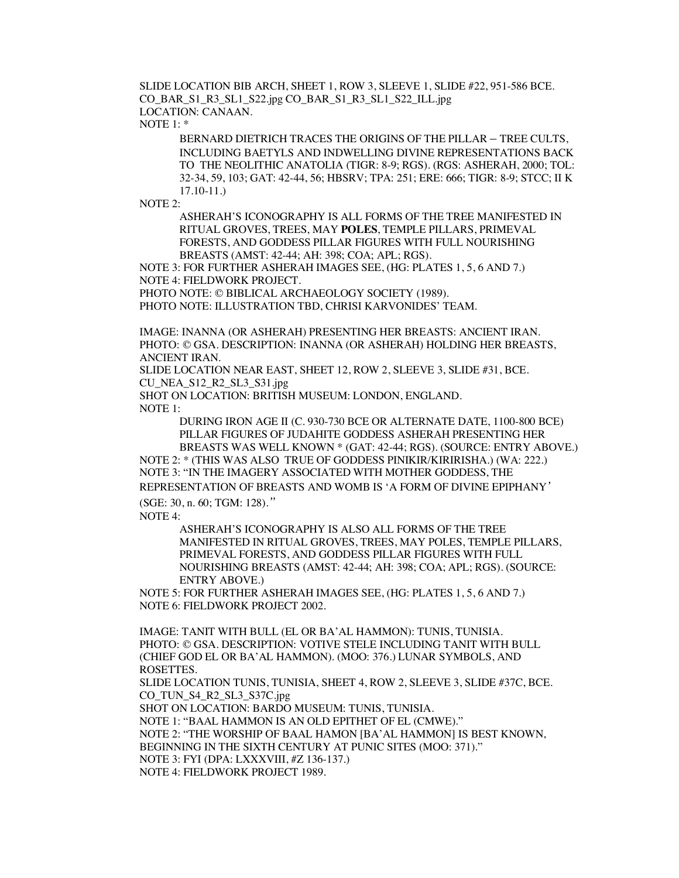SLIDE LOCATION BIB ARCH, SHEET 1, ROW 3, SLEEVE 1, SLIDE #22, 951-586 BCE. CO\_BAR\_S1\_R3\_SL1\_S22.jpg CO\_BAR\_S1\_R3\_SL1\_S22\_ILL.jpg LOCATION: CANAAN.

NOTE 1: \*

BERNARD DIETRICH TRACES THE ORIGINS OF THE PILLAR – TREE CULTS, INCLUDING BAETYLS AND INDWELLING DIVINE REPRESENTATIONS BACK TO THE NEOLITHIC ANATOLIA (TIGR: 8-9; RGS). (RGS: ASHERAH, 2000; TOL: 32-34, 59, 103; GAT: 42-44, 56; HBSRV; TPA: 251; ERE: 666; TIGR: 8-9; STCC; II K 17.10-11.)

NOTE 2:

ASHERAH'S ICONOGRAPHY IS ALL FORMS OF THE TREE MANIFESTED IN RITUAL GROVES, TREES, MAY **POLES**, TEMPLE PILLARS, PRIMEVAL FORESTS, AND GODDESS PILLAR FIGURES WITH FULL NOURISHING BREASTS (AMST: 42-44; AH: 398; COA; APL; RGS).

NOTE 3: FOR FURTHER ASHERAH IMAGES SEE, (HG: PLATES 1, 5, 6 AND 7.) NOTE 4: FIELDWORK PROJECT.

PHOTO NOTE: © BIBLICAL ARCHAEOLOGY SOCIETY (1989).

PHOTO NOTE: ILLUSTRATION TBD, CHRISI KARVONIDES' TEAM.

IMAGE: INANNA (OR ASHERAH) PRESENTING HER BREASTS: ANCIENT IRAN. PHOTO: © GSA. DESCRIPTION: INANNA (OR ASHERAH) HOLDING HER BREASTS, ANCIENT IRAN.

SLIDE LOCATION NEAR EAST, SHEET 12, ROW 2, SLEEVE 3, SLIDE #31, BCE. CU\_NEA\_S12\_R2\_SL3\_S31.jpg

SHOT ON LOCATION: BRITISH MUSEUM: LONDON, ENGLAND.

NOTE 1:

DURING IRON AGE II (C. 930-730 BCE OR ALTERNATE DATE, 1100-800 BCE) PILLAR FIGURES OF JUDAHITE GODDESS ASHERAH PRESENTING HER BREASTS WAS WELL KNOWN \* (GAT: 42-44; RGS). (SOURCE: ENTRY ABOVE.)

NOTE 2: \* (THIS WAS ALSO TRUE OF GODDESS PINIKIR/KIRIRISHA.) (WA: 222.) NOTE 3: "IN THE IMAGERY ASSOCIATED WITH MOTHER GODDESS, THE REPRESENTATION OF BREASTS AND WOMB IS 'A FORM OF DIVINE EPIPHANY*'* (SGE: 30, n. 60; TGM: 128).*"*

NOTE  $4$ <sup>.</sup>

ASHERAH'S ICONOGRAPHY IS ALSO ALL FORMS OF THE TREE MANIFESTED IN RITUAL GROVES, TREES, MAY POLES, TEMPLE PILLARS, PRIMEVAL FORESTS, AND GODDESS PILLAR FIGURES WITH FULL NOURISHING BREASTS (AMST: 42-44; AH: 398; COA; APL; RGS). (SOURCE: ENTRY ABOVE.)

NOTE 5: FOR FURTHER ASHERAH IMAGES SEE, (HG: PLATES 1, 5, 6 AND 7.) NOTE 6: FIELDWORK PROJECT 2002.

IMAGE: TANIT WITH BULL (EL OR BA'AL HAMMON): TUNIS, TUNISIA. PHOTO: © GSA. DESCRIPTION: VOTIVE STELE INCLUDING TANIT WITH BULL (CHIEF GOD EL OR BA'AL HAMMON). (MOO: 376.) LUNAR SYMBOLS, AND ROSETTES.

SLIDE LOCATION TUNIS, TUNISIA, SHEET 4, ROW 2, SLEEVE 3, SLIDE #37C, BCE. CO\_TUN\_S4\_R2\_SL3\_S37C.jpg

SHOT ON LOCATION: BARDO MUSEUM: TUNIS, TUNISIA.

NOTE 1: "BAAL HAMMON IS AN OLD EPITHET OF EL (CMWE)." NOTE 2: "THE WORSHIP OF BAAL HAMON [BA'AL HAMMON] IS BEST KNOWN, BEGINNING IN THE SIXTH CENTURY AT PUNIC SITES (MOO: 371)." NOTE 3: FYI (DPA: LXXXVIII, #Z 136-137.) NOTE 4: FIELDWORK PROJECT 1989.